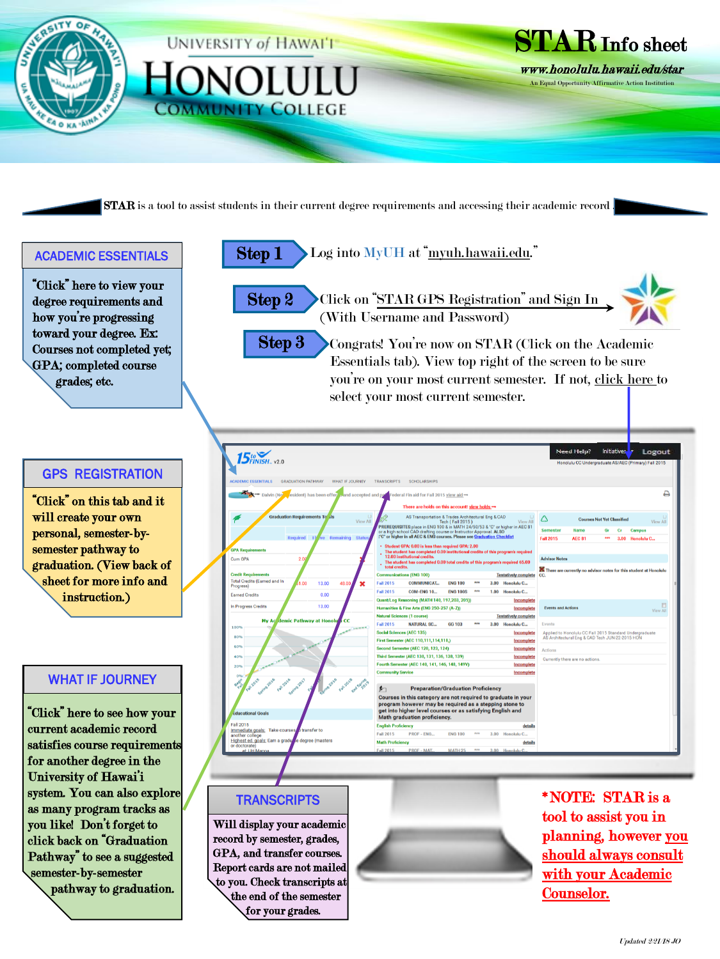

## GPS REGISTRATION

"Click" on this tab and it will create your own personal, semester-bysemester pathway to graduation. (View back of sheet for more info and instruction.)

## WHAT IF JOURNEY

"Click" here to see how your current academic record satisfies course requirements for another degree in the University of Hawai'i system. You can also explore as many program tracks as you like! Don't forget to click back on "Graduation Pathway" to see a suggested semester-by-semester pathway to graduation.

| <b>5to</b><br><b>5FINISH</b> . v2.0                                                                 |                                              |                                                                                                                                                                                                                    |                                                                                                   |                 |             |  |                                                                                                            |                           |                                   |            |                 | Honolulu CC Undergraduate AS/AEC (Primary) Fall 2015 |
|-----------------------------------------------------------------------------------------------------|----------------------------------------------|--------------------------------------------------------------------------------------------------------------------------------------------------------------------------------------------------------------------|---------------------------------------------------------------------------------------------------|-----------------|-------------|--|------------------------------------------------------------------------------------------------------------|---------------------------|-----------------------------------|------------|-----------------|------------------------------------------------------|
| <b>ACADEMIC ESSENTIALS</b>                                                                          | <b>GRADUATION PATHWAY</b><br>WHAT IF JOURNEY | <b>TRANSCRIPTS</b>                                                                                                                                                                                                 | <b>SCHOLARSHIPS</b>                                                                               |                 |             |  |                                                                                                            |                           |                                   |            |                 |                                                      |
| → Dalvin (No esident) has been offer a and accepted and pa rederal Fin aid for Fall 2015 view aid → |                                              |                                                                                                                                                                                                                    |                                                                                                   |                 |             |  |                                                                                                            |                           |                                   |            |                 |                                                      |
|                                                                                                     |                                              |                                                                                                                                                                                                                    | There are holds on this account! view holds -                                                     |                 |             |  |                                                                                                            |                           |                                   |            |                 |                                                      |
|                                                                                                     |                                              |                                                                                                                                                                                                                    |                                                                                                   |                 |             |  |                                                                                                            |                           |                                   |            |                 |                                                      |
| <b>Graduation Requirements To Jis</b>                                                               | <b>View All</b>                              | AS Transportation & Trades Architectural Eng & CAD<br><b>Tech (Fall 2015)</b><br>View All<br>PREREQUISITES: place in ENG 100 & in MATH 24/50/53 & "C" or higher in AEC 81                                          |                                                                                                   |                 |             |  |                                                                                                            |                           | <b>Courses Not Yet Classified</b> |            | <b>View All</b> |                                                      |
|                                                                                                     |                                              |                                                                                                                                                                                                                    | or a high school CAD drafting course or Instructor Approval. ALSO                                 |                 |             |  |                                                                                                            | <b>Semester</b>           | <b>Name</b>                       | Gr         | Сr              | <b>Campus</b>                                        |
|                                                                                                     | Required 1b ve Remaining                     | <b>Status</b>                                                                                                                                                                                                      | :"C" or higher in all AEC & ENG courses. Please see Graduation Checklist                          |                 |             |  |                                                                                                            | <b>Fall 2015</b>          | <b>AEC 81</b>                     | <b>ARA</b> |                 | 3.00 Honolulu C                                      |
| <b>GPA Requirements</b>                                                                             |                                              |                                                                                                                                                                                                                    | • Student GPA: 0.00 is less than required GPA: 2.00                                               |                 |             |  |                                                                                                            |                           |                                   |            |                 |                                                      |
| Cum GPA<br>2.00                                                                                     |                                              | The student has completed 0.00 institutional credits of this program's required<br>12.00 institutional credits.<br>The student has completed 0.00 total credits of this program's required 65.00<br>total credits. |                                                                                                   |                 |             |  |                                                                                                            | <b>Advisor Notes</b>      |                                   |            |                 |                                                      |
|                                                                                                     |                                              |                                                                                                                                                                                                                    |                                                                                                   |                 |             |  |                                                                                                            |                           |                                   |            |                 |                                                      |
| <b>Credit Requirements</b>                                                                          |                                              | <b>Communications (ENG 100)</b><br><b>Tentatively complete</b>                                                                                                                                                     |                                                                                                   |                 |             |  | There are currently no advisor notes for this student at Honolulu<br>CC.                                   |                           |                                   |            |                 |                                                      |
| <b>Total Credits (Earned and In</b><br>Progress)                                                    | .00<br>13.00<br>48.00                        | ×<br><b>Fall 2015</b>                                                                                                                                                                                              | <b>COMMUNICAT</b>                                                                                 | <b>ENG 100</b>  | <b>MAN</b>  |  | 3.00 Honolulu C                                                                                            |                           |                                   |            |                 |                                                      |
| <b>Earned Credits</b>                                                                               | 0.00                                         | <b>Fall 2015</b>                                                                                                                                                                                                   | <b>COM-ENG 10</b>                                                                                 | <b>ENG 1008</b> | <b>SVAN</b> |  | 1.00 Honolulu C                                                                                            |                           |                                   |            |                 |                                                      |
|                                                                                                     |                                              |                                                                                                                                                                                                                    | Quant/Log Reasoning (MATH 140, 197, 203, 205))                                                    |                 |             |  | Incomplete                                                                                                 |                           |                                   |            |                 |                                                      |
| In Progress Credits                                                                                 | 13.00                                        |                                                                                                                                                                                                                    | Humanities & Fine Arts (ENG 250-257 (A-Z))                                                        |                 |             |  | Incomplete                                                                                                 | <b>Events and Actions</b> |                                   |            |                 | View All                                             |
| <b>My Ac demic Pathway at Honolul</b>                                                               | cc                                           | <b>Natural Sciences (1 course)</b><br><b>Tentatively complete</b>                                                                                                                                                  |                                                                                                   |                 |             |  |                                                                                                            |                           |                                   |            |                 |                                                      |
| 100%                                                                                                |                                              | <b>Fall 2015</b><br><b>ANCHERO</b>                                                                                                                                                                                 | <b>NATURAL SC</b>                                                                                 | <b>GG 103</b>   | <b>SAS</b>  |  | 3.00 Honolulu C                                                                                            | Events                    |                                   |            |                 |                                                      |
| 80%                                                                                                 |                                              | <b>Social Sciences (AEC 135)</b><br>Incomplete                                                                                                                                                                     |                                                                                                   |                 |             |  | Applied to Honolulu CC Fall 2015 Standard Undergraduate<br>AS Architectural Eng & CAD Tech JUN-22-2015 HON |                           |                                   |            |                 |                                                      |
| 60%                                                                                                 |                                              | First Semester (AEC 110,111,114,118,)<br>Incomplete                                                                                                                                                                |                                                                                                   |                 |             |  |                                                                                                            |                           |                                   |            |                 |                                                      |
| 40%                                                                                                 |                                              | <b>Second Semester (AEC 120, 123, 124)</b><br>Incomplete<br>Third Semester (AEC 130, 131, 136, 138, 139)                                                                                                           |                                                                                                   |                 |             |  | Actions                                                                                                    |                           |                                   |            |                 |                                                      |
|                                                                                                     |                                              | Incomplete<br>Fourth Semester (AEC 140, 141, 146, 148, 149V)<br>Incomplete                                                                                                                                         |                                                                                                   |                 |             |  | Currently there are no actions.                                                                            |                           |                                   |            |                 |                                                      |
| 20%                                                                                                 |                                              | <b>Community Service</b><br>Incomplete                                                                                                                                                                             |                                                                                                   |                 |             |  |                                                                                                            |                           |                                   |            |                 |                                                      |
| O <sub>N</sub><br><b>W2015</b><br><b>002016</b>                                                     | <b>02018</b>                                 |                                                                                                                                                                                                                    |                                                                                                   |                 |             |  |                                                                                                            |                           |                                   |            |                 |                                                      |
| Fall 2016<br>Sound 2017                                                                             | Fall 2018                                    | Ind Spring<br>≸⊓                                                                                                                                                                                                   | <b>Preparation/Graduation Proficiency</b>                                                         |                 |             |  |                                                                                                            |                           |                                   |            |                 |                                                      |
|                                                                                                     |                                              |                                                                                                                                                                                                                    | Courses in this category are not required to graduate in your                                     |                 |             |  |                                                                                                            |                           |                                   |            |                 |                                                      |
|                                                                                                     |                                              |                                                                                                                                                                                                                    | program however may be required as a stepping stone to                                            |                 |             |  |                                                                                                            |                           |                                   |            |                 |                                                      |
| <b>Educational Goals</b>                                                                            |                                              |                                                                                                                                                                                                                    | get into higher level courses or as satisfying English and<br><b>Math graduation proficiency.</b> |                 |             |  |                                                                                                            |                           |                                   |            |                 |                                                      |
| <b>Fall 2015</b>                                                                                    |                                              | <b>English Proficiency</b><br>details                                                                                                                                                                              |                                                                                                   |                 |             |  |                                                                                                            |                           |                                   |            |                 |                                                      |
| Immediate goals: Take courses, b transfer to<br>another college                                     |                                              | <b>Fall 2015</b>                                                                                                                                                                                                   | PROF - ENG                                                                                        | <b>ENG 100</b>  | <b>SHS</b>  |  | 3.00 Honolulu C                                                                                            |                           |                                   |            |                 |                                                      |
| Highest ed. goals; Earn a gradu re degree (masters                                                  |                                              | <b>Math Proficiency</b>                                                                                                                                                                                            |                                                                                                   |                 |             |  | details                                                                                                    |                           |                                   |            |                 |                                                      |

## **TRANSCRIPTS**

Will display your academic record by semester, grades, GPA, and transfer courses. Report cards are not mailed to you. Check transcripts at the end of the semester for your grades.



\*NOTE: STAR is a tool to assist you in planning, however you should always consult with your Academic Counselor.